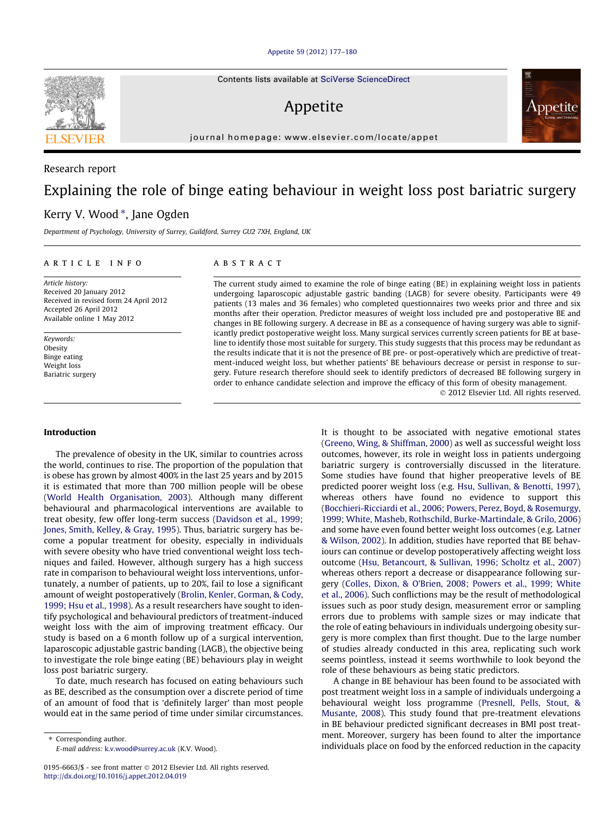#### [Appetite 59 \(2012\) 177–180](http://dx.doi.org/10.1016/j.appet.2012.04.019)

Contents lists available at [SciVerse ScienceDirect](http://www.sciencedirect.com/science/journal/01956663)

## Appetite

journal homepage: [www.elsevier.com/locate/appet](http://www.elsevier.com/locate/appet)

# Explaining the role of binge eating behaviour in weight loss post bariatric surgery

### Kerry V. Wood \*, Jane Ogden

Department of Psychology, University of Surrey, Guildford, Surrey GU2 7XH, England, UK

#### article info

Article history: Received 20 January 2012 Received in revised form 24 April 2012 Accepted 26 April 2012 Available online 1 May 2012

Keywords: Obesity Binge eating Weight loss Bariatric surgery

#### Introduction

The prevalence of obesity in the UK, similar to countries across the world, continues to rise. The proportion of the population that is obese has grown by almost 400% in the last 25 years and by 2015 it is estimated that more than 700 million people will be obese ([World Health Organisation, 2003\)](#page--1-0). Although many different behavioural and pharmacological interventions are available to treat obesity, few offer long-term success [\(Davidson et al., 1999;](#page--1-0) [Jones, Smith, Kelley, & Gray, 1995\)](#page--1-0). Thus, bariatric surgery has become a popular treatment for obesity, especially in individuals with severe obesity who have tried conventional weight loss techniques and failed. However, although surgery has a high success rate in comparison to behavioural weight loss interventions, unfortunately, a number of patients, up to 20%, fail to lose a significant amount of weight postoperatively [\(Brolin, Kenler, Gorman, & Cody,](#page--1-0) [1999; Hsu et al., 1998\)](#page--1-0). As a result researchers have sought to identify psychological and behavioural predictors of treatment-induced weight loss with the aim of improving treatment efficacy. Our study is based on a 6 month follow up of a surgical intervention, laparoscopic adjustable gastric banding (LAGB), the objective being to investigate the role binge eating (BE) behaviours play in weight loss post bariatric surgery.

To date, much research has focused on eating behaviours such as BE, described as the consumption over a discrete period of time of an amount of food that is 'definitely larger' than most people would eat in the same period of time under similar circumstances.

⇑ Corresponding author. E-mail address: [k.v.wood@surrey.ac.uk](mailto:k.v.wood@surrey.ac.uk) (K.V. Wood).

#### **ABSTRACT**

The current study aimed to examine the role of binge eating (BE) in explaining weight loss in patients undergoing laparoscopic adjustable gastric banding (LAGB) for severe obesity. Participants were 49 patients (13 males and 36 females) who completed questionnaires two weeks prior and three and six months after their operation. Predictor measures of weight loss included pre and postoperative BE and changes in BE following surgery. A decrease in BE as a consequence of having surgery was able to significantly predict postoperative weight loss. Many surgical services currently screen patients for BE at baseline to identify those most suitable for surgery. This study suggests that this process may be redundant as the results indicate that it is not the presence of BE pre- or post-operatively which are predictive of treatment-induced weight loss, but whether patients' BE behaviours decrease or persist in response to surgery. Future research therefore should seek to identify predictors of decreased BE following surgery in order to enhance candidate selection and improve the efficacy of this form of obesity management. - 2012 Elsevier Ltd. All rights reserved.

> It is thought to be associated with negative emotional states ([Greeno, Wing, & Shiffman, 2000](#page--1-0)) as well as successful weight loss outcomes, however, its role in weight loss in patients undergoing bariatric surgery is controversially discussed in the literature. Some studies have found that higher preoperative levels of BE predicted poorer weight loss (e.g. [Hsu, Sullivan, & Benotti, 1997\)](#page--1-0), whereas others have found no evidence to support this ([Bocchieri-Ricciardi et al., 2006; Powers, Perez, Boyd, & Rosemurgy,](#page--1-0) [1999; White, Masheb, Rothschild, Burke-Martindale, & Grilo, 2006\)](#page--1-0) and some have even found better weight loss outcomes (e.g. [Latner](#page--1-0) [& Wilson, 2002](#page--1-0)). In addition, studies have reported that BE behaviours can continue or develop postoperatively affecting weight loss outcome ([Hsu, Betancourt, & Sullivan, 1996; Scholtz et al., 2007\)](#page--1-0) whereas others report a decrease or disappearance following surgery ([Colles, Dixon, & O'Brien, 2008; Powers et al., 1999; White](#page--1-0) [et al., 2006\)](#page--1-0). Such conflictions may be the result of methodological issues such as poor study design, measurement error or sampling errors due to problems with sample sizes or may indicate that the role of eating behaviours in individuals undergoing obesity surgery is more complex than first thought. Due to the large number of studies already conducted in this area, replicating such work seems pointless, instead it seems worthwhile to look beyond the role of these behaviours as being static predictors.

> A change in BE behaviour has been found to be associated with post treatment weight loss in a sample of individuals undergoing a behavioural weight loss programme ([Presnell, Pells, Stout, &](#page--1-0) [Musante, 2008\)](#page--1-0). This study found that pre-treatment elevations in BE behaviour predicted significant decreases in BMI post treatment. Moreover, surgery has been found to alter the importance individuals place on food by the enforced reduction in the capacity



Research report



<sup>0195-6663/\$ -</sup> see front matter © 2012 Elsevier Ltd. All rights reserved. <http://dx.doi.org/10.1016/j.appet.2012.04.019>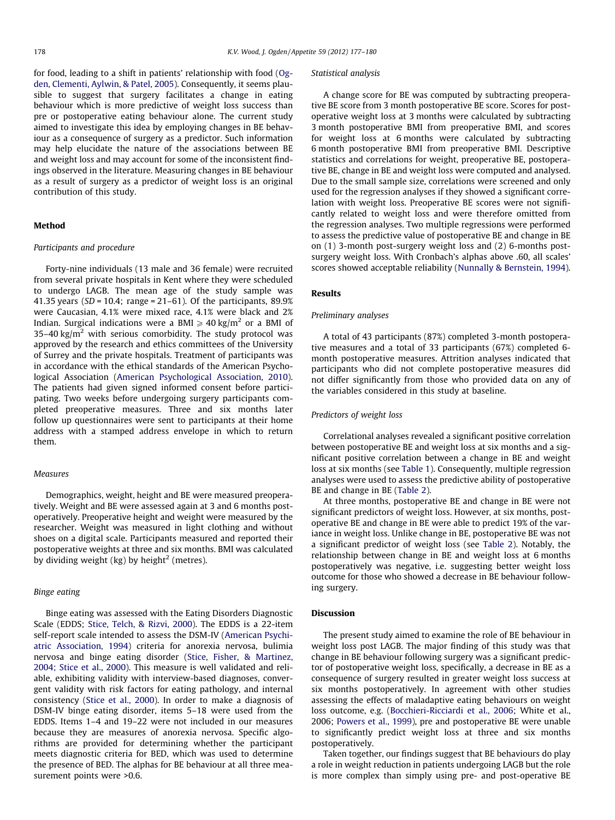for food, leading to a shift in patients' relationship with food [\(Og](#page--1-0)[den, Clementi, Aylwin, & Patel, 2005\)](#page--1-0). Consequently, it seems plausible to suggest that surgery facilitates a change in eating behaviour which is more predictive of weight loss success than pre or postoperative eating behaviour alone. The current study aimed to investigate this idea by employing changes in BE behaviour as a consequence of surgery as a predictor. Such information may help elucidate the nature of the associations between BE and weight loss and may account for some of the inconsistent findings observed in the literature. Measuring changes in BE behaviour as a result of surgery as a predictor of weight loss is an original contribution of this study.

#### **Mathod**

#### Participants and procedure

Forty-nine individuals (13 male and 36 female) were recruited from several private hospitals in Kent where they were scheduled to undergo LAGB. The mean age of the study sample was 41.35 years ( $SD = 10.4$ ; range = 21–61). Of the participants, 89.9% were Caucasian, 4.1% were mixed race, 4.1% were black and 2% Indian. Surgical indications were a BMI  $\geq 40$  kg/m<sup>2</sup> or a BMI of 35–40 kg/ $m^2$  with serious comorbidity. The study protocol was approved by the research and ethics committees of the University of Surrey and the private hospitals. Treatment of participants was in accordance with the ethical standards of the American Psychological Association [\(American Psychological Association, 2010\)](#page--1-0). The patients had given signed informed consent before participating. Two weeks before undergoing surgery participants completed preoperative measures. Three and six months later follow up questionnaires were sent to participants at their home address with a stamped address envelope in which to return them.

#### Measures

Demographics, weight, height and BE were measured preoperatively. Weight and BE were assessed again at 3 and 6 months postoperatively. Preoperative height and weight were measured by the researcher. Weight was measured in light clothing and without shoes on a digital scale. Participants measured and reported their postoperative weights at three and six months. BMI was calculated by dividing weight (kg) by height<sup>2</sup> (metres).

#### Binge eating

Binge eating was assessed with the Eating Disorders Diagnostic Scale (EDDS; [Stice, Telch, & Rizvi, 2000](#page--1-0)). The EDDS is a 22-item self-report scale intended to assess the DSM-IV ([American Psychi](#page--1-0)[atric Association, 1994](#page--1-0)) criteria for anorexia nervosa, bulimia nervosa and binge eating disorder ([Stice, Fisher, & Martinez,](#page--1-0) [2004; Stice et al., 2000\)](#page--1-0). This measure is well validated and reliable, exhibiting validity with interview-based diagnoses, convergent validity with risk factors for eating pathology, and internal consistency [\(Stice et al., 2000](#page--1-0)). In order to make a diagnosis of DSM-IV binge eating disorder, items 5–18 were used from the EDDS. Items 1–4 and 19–22 were not included in our measures because they are measures of anorexia nervosa. Specific algorithms are provided for determining whether the participant meets diagnostic criteria for BED, which was used to determine the presence of BED. The alphas for BE behaviour at all three measurement points were >0.6.

#### Statistical analysis

A change score for BE was computed by subtracting preoperative BE score from 3 month postoperative BE score. Scores for postoperative weight loss at 3 months were calculated by subtracting 3 month postoperative BMI from preoperative BMI, and scores for weight loss at 6 months were calculated by subtracting 6 month postoperative BMI from preoperative BMI. Descriptive statistics and correlations for weight, preoperative BE, postoperative BE, change in BE and weight loss were computed and analysed. Due to the small sample size, correlations were screened and only used for the regression analyses if they showed a significant correlation with weight loss. Preoperative BE scores were not significantly related to weight loss and were therefore omitted from the regression analyses. Two multiple regressions were performed to assess the predictive value of postoperative BE and change in BE on (1) 3-month post-surgery weight loss and (2) 6-months postsurgery weight loss. With Cronbach's alphas above .60, all scales' scores showed acceptable reliability ([Nunnally & Bernstein, 1994\)](#page--1-0).

#### Results

#### Preliminary analyses

A total of 43 participants (87%) completed 3-month postoperative measures and a total of 33 participants (67%) completed 6 month postoperative measures. Attrition analyses indicated that participants who did not complete postoperative measures did not differ significantly from those who provided data on any of the variables considered in this study at baseline.

#### Predictors of weight loss

Correlational analyses revealed a significant positive correlation between postoperative BE and weight loss at six months and a significant positive correlation between a change in BE and weight loss at six months (see [Table 1\)](#page--1-0). Consequently, multiple regression analyses were used to assess the predictive ability of postoperative BE and change in BE [\(Table 2](#page--1-0)).

At three months, postoperative BE and change in BE were not significant predictors of weight loss. However, at six months, postoperative BE and change in BE were able to predict 19% of the variance in weight loss. Unlike change in BE, postoperative BE was not a significant predictor of weight loss (see [Table 2\)](#page--1-0). Notably, the relationship between change in BE and weight loss at 6 months postoperatively was negative, i.e. suggesting better weight loss outcome for those who showed a decrease in BE behaviour following surgery.

#### Discussion

The present study aimed to examine the role of BE behaviour in weight loss post LAGB. The major finding of this study was that change in BE behaviour following surgery was a significant predictor of postoperative weight loss, specifically, a decrease in BE as a consequence of surgery resulted in greater weight loss success at six months postoperatively. In agreement with other studies assessing the effects of maladaptive eating behaviours on weight loss outcome, e.g. [\(Bocchieri-Ricciardi et al., 2006](#page--1-0); White et al., 2006; [Powers et al., 1999](#page--1-0)), pre and postoperative BE were unable to significantly predict weight loss at three and six months postoperatively.

Taken together, our findings suggest that BE behaviours do play a role in weight reduction in patients undergoing LAGB but the role is more complex than simply using pre- and post-operative BE